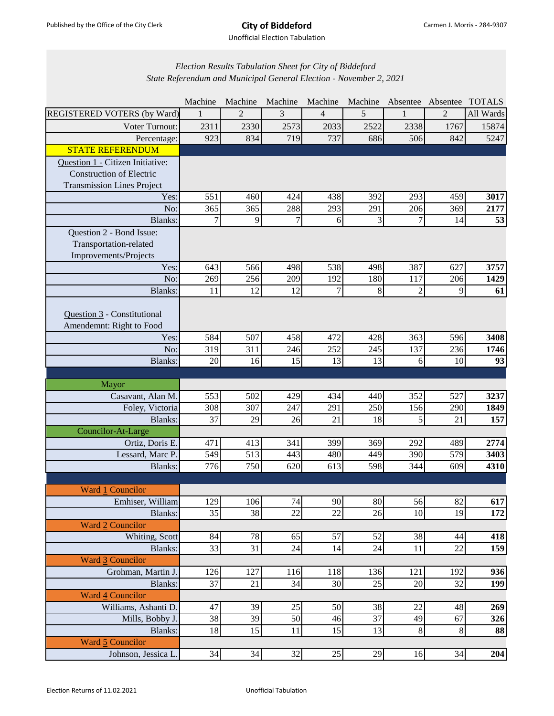Unofficial Election Tabulation

## *Election Results Tabulation Sheet for City of Biddeford State Referendum and Municipal General Election - November 2, 2021*

|                                   | Machine         | Machine         | Machine         | Machine        | Machine        | Absentee Absentee |                | <b>TOTALS</b> |
|-----------------------------------|-----------------|-----------------|-----------------|----------------|----------------|-------------------|----------------|---------------|
| REGISTERED VOTERS (by Ward)       |                 | $\mathfrak{D}$  | 3               | $\overline{4}$ | 5              |                   | $\mathfrak{D}$ | All Wards     |
| Voter Turnout:                    | 2311            | 2330            | 2573            | 2033           | 2522           | 2338              | 1767           | 15874         |
| Percentage:                       | 923             | 834             | 719             | 737            | 686            | 506               | 842            | 5247          |
| <b>STATE REFERENDUM</b>           |                 |                 |                 |                |                |                   |                |               |
| Question 1 - Citizen Initiative:  |                 |                 |                 |                |                |                   |                |               |
| <b>Construction of Electric</b>   |                 |                 |                 |                |                |                   |                |               |
| <b>Transmission Lines Project</b> |                 |                 |                 |                |                |                   |                |               |
| Yes:                              | 551             | 460             | 424             | 438            | 392            | 293               | 459            | 3017          |
| No:                               | 365             | 365             | 288             | 293            | 291            | 206               | 369            | 2177          |
| <b>Blanks:</b>                    | $\overline{7}$  | 9               | $\overline{7}$  | 6              | $\overline{3}$ | $\overline{7}$    | 14             | 53            |
| Question 2 - Bond Issue:          |                 |                 |                 |                |                |                   |                |               |
| Transportation-related            |                 |                 |                 |                |                |                   |                |               |
| Improvements/Projects             |                 |                 |                 |                |                |                   |                |               |
| Yes:                              | 643             | 566             | 498             | 538            | 498            | 387               | 627            | 3757          |
| No:                               | 269             | 256             | 209             | 192            | 180            | 117               | 206            | 1429          |
| Blanks:                           | 11              | $\overline{12}$ | 12              | $\overline{7}$ | $\overline{8}$ | $\overline{c}$    | 9              | 61            |
| Question 3 - Constitutional       |                 |                 |                 |                |                |                   |                |               |
| Amendemnt: Right to Food          |                 |                 |                 |                |                |                   |                |               |
| Yes:                              | 584             | 507             | 458             | 472            | 428            | 363               | 596            | 3408          |
| No:                               | 319             | 311             | 246             | 252            | 245            | 137               | 236            | 1746          |
| Blanks:                           | 20              | 16              | 15              | 13             | 13             | 6                 | 10             | 93            |
|                                   |                 |                 |                 |                |                |                   |                |               |
| Mayor                             |                 |                 |                 |                |                |                   |                |               |
| Casavant, Alan M.                 | 553             | 502             | 429             | 434            | 440            | 352               | 527            | 3237          |
| Foley, Victoria                   | 308             | 307             | 247             | 291            | 250            | 156               | 290            | 1849          |
| Blanks:                           | 37              | 29              | 26              | 21             | 18             | 5                 | 21             | 157           |
| Councilor-At-Large                |                 |                 |                 |                |                |                   |                |               |
| Ortiz, Doris E.                   | 471             | 413             | 341             | 399            | 369            | 292               | 489            | 2774          |
| Lessard, Marc P                   | 549             | 513             | 443             | 480            | 449            | 390               | 579            | 3403          |
| Blanks:                           | 776             | 750             | 620             | 613            | 598            | 344               | 609            | 4310          |
|                                   |                 |                 |                 |                |                |                   |                |               |
| <b>Ward 1 Councilor</b>           |                 |                 |                 |                |                |                   |                |               |
| Emhiser, William                  | 129             | 106             | 74              | 90             | 80             | 56                | 82             | 617           |
| Blanks:                           | $\overline{35}$ | 38              | $\overline{22}$ | 22             | 26             | 10                | 19             | 172           |
| Ward 2 Councilor                  |                 |                 |                 |                |                |                   |                |               |
| Whiting, Scott                    | 84              | 78              | 65              | 57             | 52             | 38                | 44             | 418           |
| Blanks:                           | 33              | $\overline{31}$ | 24              | 14             | 24             | 11                | 22             | 159           |
| Ward 3 Councilor                  |                 |                 |                 |                |                |                   |                |               |
| Grohman, Martin J.                | 126             | 127             | 116             | 118            | 136            | 121               | 192            | 936           |
| Blanks:                           | 37              | 21              | 34              | 30             | 25             | 20                | 32             | 199           |
| <b>Ward 4 Councilor</b>           |                 |                 |                 |                |                |                   |                |               |
| Williams, Ashanti D               | 47              | 39              | 25              | 50             | 38             | 22                | 48             | 269           |
| Mills, Bobby J.                   | 38              | 39              | 50              | 46             | 37             | 49                | 67             | 326           |
| Blanks:                           | 18              | 15              | 11              | 15             | 13             | $\,8\,$           | $\,8\,$        | 88            |
| Ward 5 Councilor                  |                 |                 |                 |                |                |                   |                |               |
| Johnson, Jessica L.               | 34              | 34              | 32              | $25\,$         | 29             | 16                | 34             | 204           |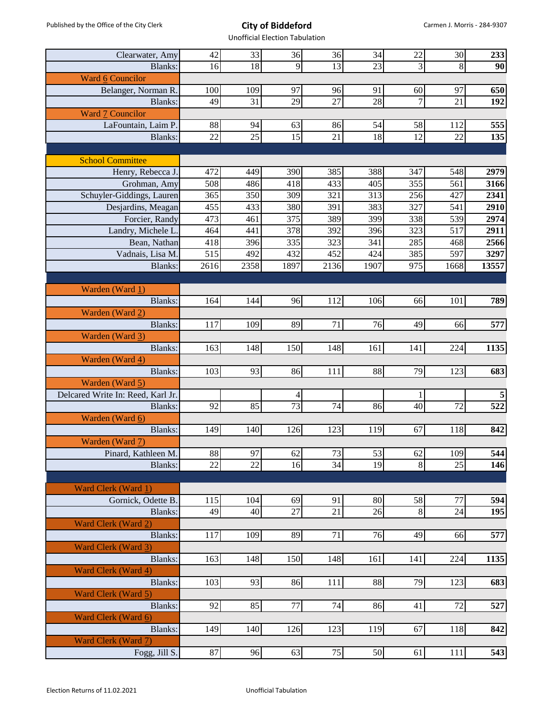Unofficial Election Tabulation

| Clearwater, Amy                                      | 42          | 33   | 36                   | 36              | 34   | 22         | 30   | 233               |
|------------------------------------------------------|-------------|------|----------------------|-----------------|------|------------|------|-------------------|
| Blanks:                                              | 16          | 18   | 9                    | $\overline{13}$ | 23   | 3          | 8    | 90                |
| <b>Ward 6 Councilor</b>                              |             |      |                      |                 |      |            |      |                   |
| Belanger, Norman R.                                  | 100         | 109  | 97                   | 96              | 91   | 60         | 97   | 650               |
| Blanks:                                              | 49          | 31   | 29                   | 27              | 28   | 7          | 21   | 192               |
| Ward 7 Councilor                                     |             |      |                      |                 |      |            |      |                   |
| LaFountain, Laim P.                                  | 88          | 94   | 63                   | 86              | 54   | 58         | 112  | 555               |
| <b>Blanks:</b>                                       | 22          | 25   | 15                   | 21              | 18   | 12         | 22   | 135               |
|                                                      |             |      |                      |                 |      |            |      |                   |
| <b>School Committee</b>                              |             |      |                      |                 |      |            |      |                   |
| Henry, Rebecca J.                                    | 472         | 449  | 390                  | 385             | 388  | 347        | 548  | 2979              |
| Grohman, Amy                                         | 508         | 486  | 418                  | 433             | 405  | 355        | 561  | 3166              |
| Schuyler-Giddings, Lauren                            | 365         | 350  | 309                  | 321             | 313  | 256        | 427  | 2341              |
| Desjardins, Meagan                                   | 455         | 433  | 380                  | 391             | 383  | 327        | 541  | 2910              |
| Forcier, Randy                                       | 473         | 461  | 375                  | 389             | 399  | 338        | 539  | 2974              |
| Landry, Michele L.                                   | 464         | 441  | 378                  | 392             | 396  | 323        | 517  | 2911              |
| Bean, Nathan                                         | 418         | 396  | 335                  | 323             | 341  | 285        | 468  | 2566              |
|                                                      |             | 492  |                      | 452             | 424  |            | 597  |                   |
| Vadnais, Lisa M.                                     | 515<br>2616 |      | 432                  |                 | 1907 | 385<br>975 | 1668 | 3297<br>13557     |
| <b>Blanks:</b>                                       |             | 2358 | 1897                 | 2136            |      |            |      |                   |
| Warden (Ward 1)                                      |             |      |                      |                 |      |            |      |                   |
|                                                      | 164         | 144  | 96                   | 112             | 106  |            | 101  |                   |
| Blanks:                                              |             |      |                      |                 |      | 66         |      | 789               |
| Warden (Ward 2)                                      |             | 109  | 89                   | 71              | 76   |            |      |                   |
| Blanks:                                              | 117         |      |                      |                 |      | 49         | 66   | 577               |
| Warden (Ward 3)                                      | 163         | 148  |                      | 148             |      |            |      |                   |
| Blanks:                                              |             |      | 150                  |                 | 161  | 141        | 224  | 1135              |
| Warden (Ward 4)                                      |             |      |                      |                 |      | 79         |      |                   |
| Blanks:                                              | 103         | 93   | 86                   | 111             | 88   |            | 123  | 683               |
| Warden (Ward 5)<br>Delcared Write In: Reed, Karl Jr. |             |      |                      |                 |      | 1          |      | 5                 |
|                                                      | 92          |      | 4<br>$\overline{73}$ | 74              | 86   | 40         | 72   | 522               |
| Blanks:<br>Warden (Ward 6)                           |             | 85   |                      |                 |      |            |      |                   |
| <b>Blanks:</b>                                       |             | 140  | 126                  |                 | 119  | 67         |      |                   |
|                                                      | 149         |      |                      | 123             |      |            | 118  | 842               |
| Warden (Ward 7)                                      | 88          | 97   | 62                   | 73              | 53   |            | 109  | 544               |
| Pinard, Kathleen M.<br><b>Blanks:</b>                | 22          | 22   | 16                   | 34              | 19   | 62         | 25   |                   |
|                                                      |             |      |                      |                 |      | 8          |      | 146               |
| Ward Clerk (Ward 1)                                  |             |      |                      |                 |      |            |      |                   |
| Gornick, Odette B.                                   | 115         | 104  | 69                   | 91              | 80   |            | 77   | 594               |
|                                                      | 49          | 40   | 27                   | 21              | 26   | 58<br>8    | 24   |                   |
| Blanks:<br>Ward Clerk (Ward 2)                       |             |      |                      |                 |      |            |      | 195               |
| Blanks:                                              | 117         | 109  | 89                   | 71              | 76   | 49         | 66   |                   |
|                                                      |             |      |                      |                 |      |            |      | 577               |
| Ward Clerk (Ward 3)                                  |             |      |                      |                 |      |            |      |                   |
| Blanks:                                              | 163         | 148  | 150                  | 148             | 161  | 141        | 224  | 1135              |
| Ward Clerk (Ward 4)                                  |             |      |                      |                 |      |            |      |                   |
| Blanks:                                              | 103         | 93   | 86                   | 111             | 88   | 79         | 123  | 683               |
| Ward Clerk (Ward 5)                                  |             |      |                      |                 |      |            |      |                   |
| Blanks:                                              | 92          | 85   | 77                   | 74              | 86   | 41         | 72   | 527               |
| Ward Clerk (Ward 6)                                  |             |      |                      |                 |      |            |      |                   |
| Blanks:                                              | 149         | 140  | 126                  | 123             | 119  | 67         | 118  | 842               |
| Ward Clerk (Ward 7)                                  |             |      |                      |                 |      |            |      |                   |
| Fogg, Jill S.                                        | 87          | 96   | 63                   | 75              | 50   | 61         | 111  | $\overline{5}$ 43 |